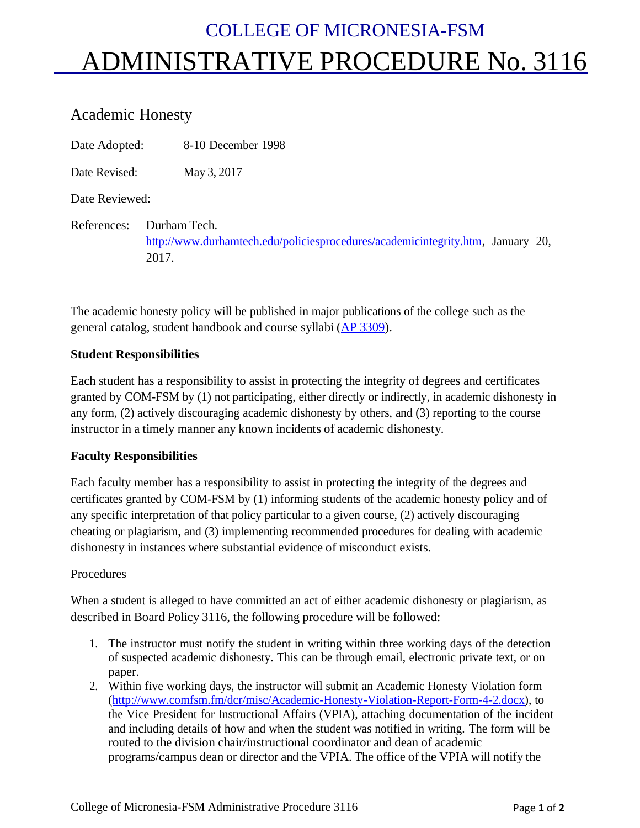# COLLEGE OF MICRONESIA-FSM ADMINISTRATIVE PROCEDURE No. 3116

# Academic Honesty

Date Adopted: 8-10 December 1998

Date Revised: May 3, 2017

Date Reviewed:

References: Durham Tech. [http://www.durhamtech.edu/policiesprocedures/academicintegrity.htm,](http://www.durhamtech.edu/policiesprocedures/academicintegrity.htm) January 20, 2017.

The academic honesty policy will be published in major publications of the college such as the general catalog, student handbook and course syllabi (AP [3309\)](http://www.comfsm.fm/Policy/Administrative-Procedure/Chapter-3/COM-FSM_AP3309.pdf).

#### **Student Responsibilities**

Each student has a responsibility to assist in protecting the integrity of degrees and certificates granted by COM-FSM by (1) not participating, either directly or indirectly, in academic dishonesty in any form, (2) actively discouraging academic dishonesty by others, and (3) reporting to the course instructor in a timely manner any known incidents of academic dishonesty.

## **Faculty Responsibilities**

Each faculty member has a responsibility to assist in protecting the integrity of the degrees and certificates granted by COM-FSM by (1) informing students of the academic honesty policy and of any specific interpretation of that policy particular to a given course, (2) actively discouraging cheating or plagiarism, and (3) implementing recommended procedures for dealing with academic dishonesty in instances where substantial evidence of misconduct exists.

## Procedures

When a student is alleged to have committed an act of either academic dishonesty or plagiarism, as described in Board Policy 3116, the following procedure will be followed:

- 1. The instructor must notify the student in writing within three working days of the detection of suspected academic dishonesty. This can be through email, electronic private text, or on paper.
- 2. Within five working days, the instructor will submit an Academic Honesty Violation form [\(http://www.comfsm.fm/dcr/misc/Academic-Honesty-Violation-Report-Form-4-2.docx\)](http://www.comfsm.fm/dcr/misc/Academic-Honesty-Violation-Report-Form-4-2.docx), to the Vice President for Instructional Affairs (VPIA), attaching documentation of the incident and including details of how and when the student was notified in writing. The form will be routed to the division chair/instructional coordinator and dean of academic programs/campus dean or director and the VPIA. The office of the VPIA will notify the